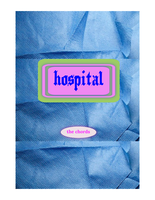